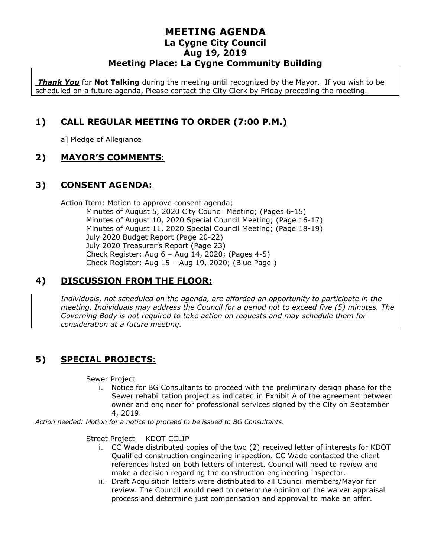### **MEETING AGENDA La Cygne City Council Aug 19, 2019 Meeting Place: La Cygne Community Building**

*Thank You* for **Not Talking** during the meeting until recognized by the Mayor. If you wish to be scheduled on a future agenda, Please contact the City Clerk by Friday preceding the meeting.

## **1) CALL REGULAR MEETING TO ORDER (7:00 P.M.)**

a] Pledge of Allegiance

### **2) MAYOR'S COMMENTS:**

### **3) CONSENT AGENDA:**

Action Item: Motion to approve consent agenda; Minutes of August 5, 2020 City Council Meeting; (Pages 6-15) Minutes of August 10, 2020 Special Council Meeting; (Page 16-17) Minutes of August 11, 2020 Special Council Meeting; (Page 18-19) July 2020 Budget Report (Page 20-22) July 2020 Treasurer's Report (Page 23) Check Register: Aug 6 – Aug 14, 2020; (Pages 4-5) Check Register: Aug 15 – Aug 19, 2020; (Blue Page )

### **4) DISCUSSION FROM THE FLOOR:**

*Individuals, not scheduled on the agenda, are afforded an opportunity to participate in the meeting. Individuals may address the Council for a period not to exceed five (5) minutes. The Governing Body is not required to take action on requests and may schedule them for consideration at a future meeting.* 

# **5) SPECIAL PROJECTS:**

Sewer Project

i. Notice for BG Consultants to proceed with the preliminary design phase for the Sewer rehabilitation project as indicated in Exhibit A of the agreement between owner and engineer for professional services signed by the City on September 4, 2019.

*Action needed: Motion for a notice to proceed to be issued to BG Consultants.*

#### Street Project - KDOT CCLIP

- i. CC Wade distributed copies of the two (2) received letter of interests for KDOT Qualified construction engineering inspection. CC Wade contacted the client references listed on both letters of interest. Council will need to review and make a decision regarding the construction engineering inspector.
- ii. Draft Acquisition letters were distributed to all Council members/Mayor for review. The Council would need to determine opinion on the waiver appraisal process and determine just compensation and approval to make an offer.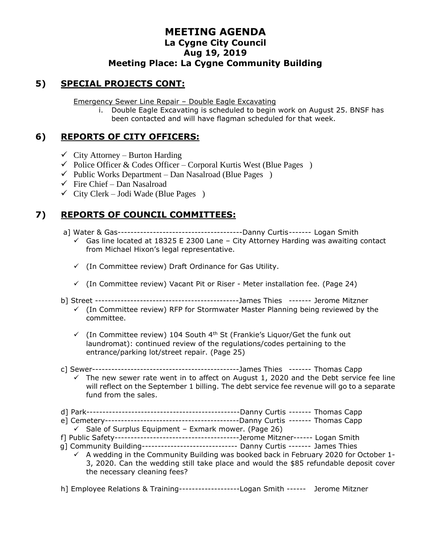### **MEETING AGENDA La Cygne City Council Aug 19, 2019 Meeting Place: La Cygne Community Building**

### **5) SPECIAL PROJECTS CONT:**

Emergency Sewer Line Repair – Double Eagle Excavating

i. Double Eagle Excavating is scheduled to begin work on August 25. BNSF has been contacted and will have flagman scheduled for that week.

### **6) REPORTS OF CITY OFFICERS:**

- $\checkmark$  City Attorney Burton Harding
- $\checkmark$  Police Officer & Codes Officer Corporal Kurtis West (Blue Pages )
- $\checkmark$  Public Works Department Dan Nasalroad (Blue Pages)
- $\checkmark$  Fire Chief Dan Nasalroad
- $\checkmark$  City Clerk Jodi Wade (Blue Pages)

### **7) REPORTS OF COUNCIL COMMITTEES:**

a] Water & Gas---------------------------------------Danny Curtis------- Logan Smith

- $\checkmark$  Gas line located at 18325 E 2300 Lane City Attorney Harding was awaiting contact from Michael Hixon's legal representative.
- ✓ (In Committee review) Draft Ordinance for Gas Utility.
- $\checkmark$  (In Committee review) Vacant Pit or Riser Meter installation fee. (Page 24)
- b] Street ---------------------------------------------James Thies ------- Jerome Mitzner
	- $\checkmark$  (In Committee review) RFP for Stormwater Master Planning being reviewed by the committee.
	- $\checkmark$  (In Committee review) 104 South 4<sup>th</sup> St (Frankie's Liquor/Get the funk out laundromat): continued review of the regulations/codes pertaining to the entrance/parking lot/street repair. (Page 25)
- c] Sewer----------------------------------------------James Thies ------- Thomas Capp
- $\checkmark$  The new sewer rate went in to affect on August 1, 2020 and the Debt service fee line will reflect on the September 1 billing. The debt service fee revenue will go to a separate fund from the sales.
- d] Park------------------------------------------------Danny Curtis ------- Thomas Capp
- e] Cemetery------------------------------------------Danny Curtis ------- Thomas Capp
- $\checkmark$  Sale of Surplus Equipment Exmark mower. (Page 26)
- f] Public Safety---------------------------------------Jerome Mitzner------ Logan Smith
- g] Community Building------------------------------ Danny Curtis ------- James Thies
	- $\checkmark$  A wedding in the Community Building was booked back in February 2020 for October 1-3, 2020. Can the wedding still take place and would the \$85 refundable deposit cover the necessary cleaning fees?

h] Employee Relations & Training-------------------Logan Smith ------ Jerome Mitzner